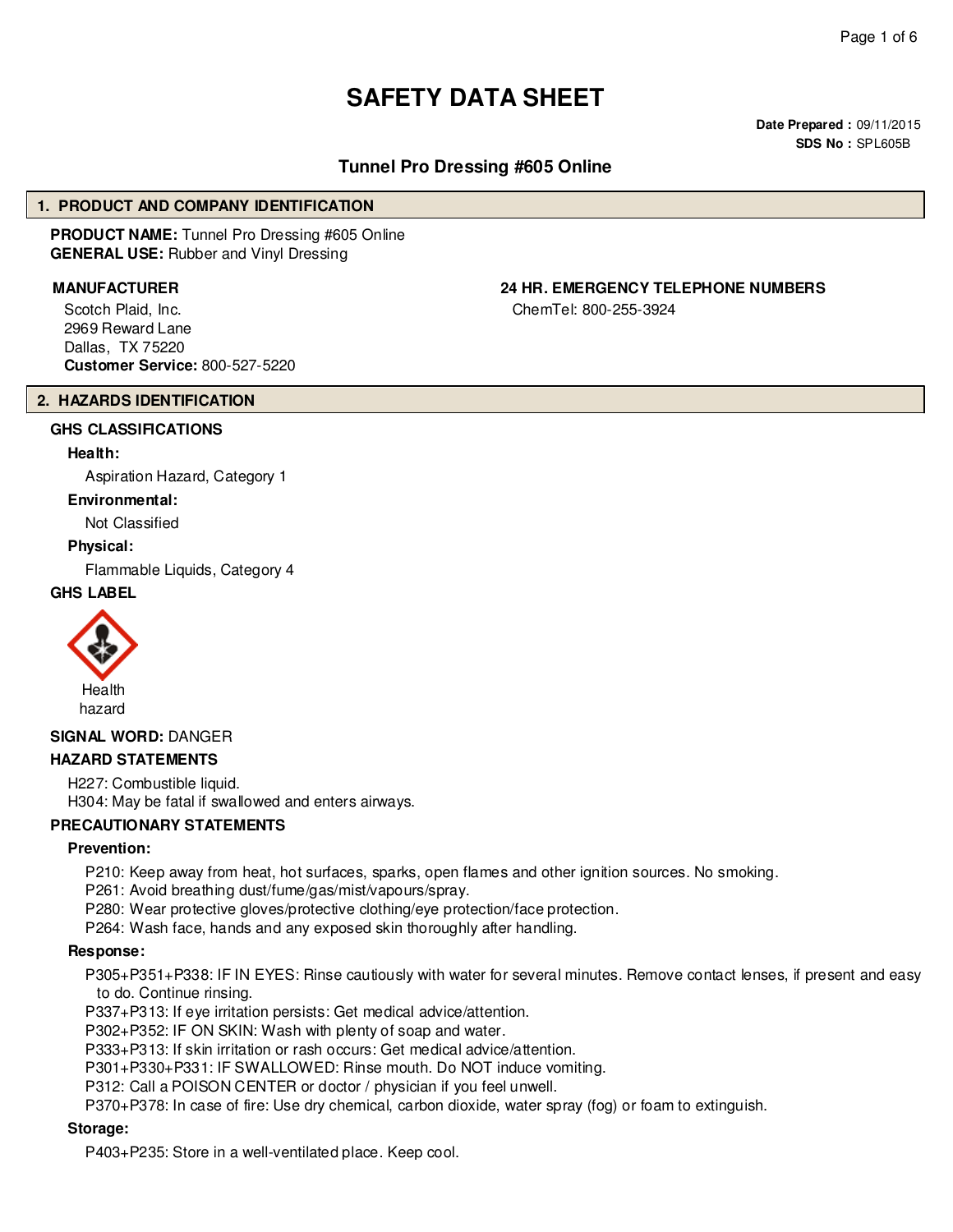# **SAFETY DATA SHEET**

**Date Prepared :** 09/11/2015 **SDS No :** SPL605B

# **Tunnel Pro Dressing #605 Online**

#### **1. PRODUCT AND COMPANY IDENTIFICATION**

**PRODUCT NAME:** Tunnel Pro Dressing #605 Online **GENERAL USE:** Rubber and Vinyl Dressing

Scotch Plaid, Inc. 2969 Reward Lane Dallas, TX 75220 **Customer Service:** 800-527-5220

# **MANUFACTURER 24 HR. EMERGENCY TELEPHONE NUMBERS**

ChemTel: 800-255-3924

#### **2. HAZARDS IDENTIFICATION**

# **GHS CLASSIFICATIONS**

#### **Health:**

Aspiration Hazard, Category 1

#### **Environmental:**

Not Classified

#### **Physical:**

Flammable Liquids, Category 4

### **GHS LABEL**



# **SIGNAL WORD:** DANGER

#### **HAZARD STATEMENTS**

H227: Combustible liquid. H304: May be fatal if swallowed and enters airways.

#### **PRECAUTIONARY STATEMENTS**

#### **Prevention:**

P210: Keep away from heat, hot surfaces, sparks, open flames and other ignition sources. No smoking.

P261: Avoid breathing dust/fume/gas/mist/vapours/spray.

P280: Wear protective gloves/protective clothing/eye protection/face protection.

P264: Wash face, hands and any exposed skin thoroughly after handling.

#### **Response:**

P305+P351+P338: IF IN EYES: Rinse cautiously with water for several minutes. Remove contact lenses, if present and easy to do. Continue rinsing.

P337+P313: If eye irritation persists: Get medical advice/attention.

P302+P352: IF ON SKIN: Wash with plenty of soap and water.

P333+P313: If skin irritation or rash occurs: Get medical advice/attention.

P301+P330+P331: IF SWALLOWED: Rinse mouth. Do NOT induce vomiting.

P312: Call a POISON CENTER or doctor / physician if you feel unwell.

P370+P378: In case of fire: Use dry chemical, carbon dioxide, water spray (fog) or foam to extinguish.

#### **Storage:**

P403+P235: Store in a well-ventilated place. Keep cool.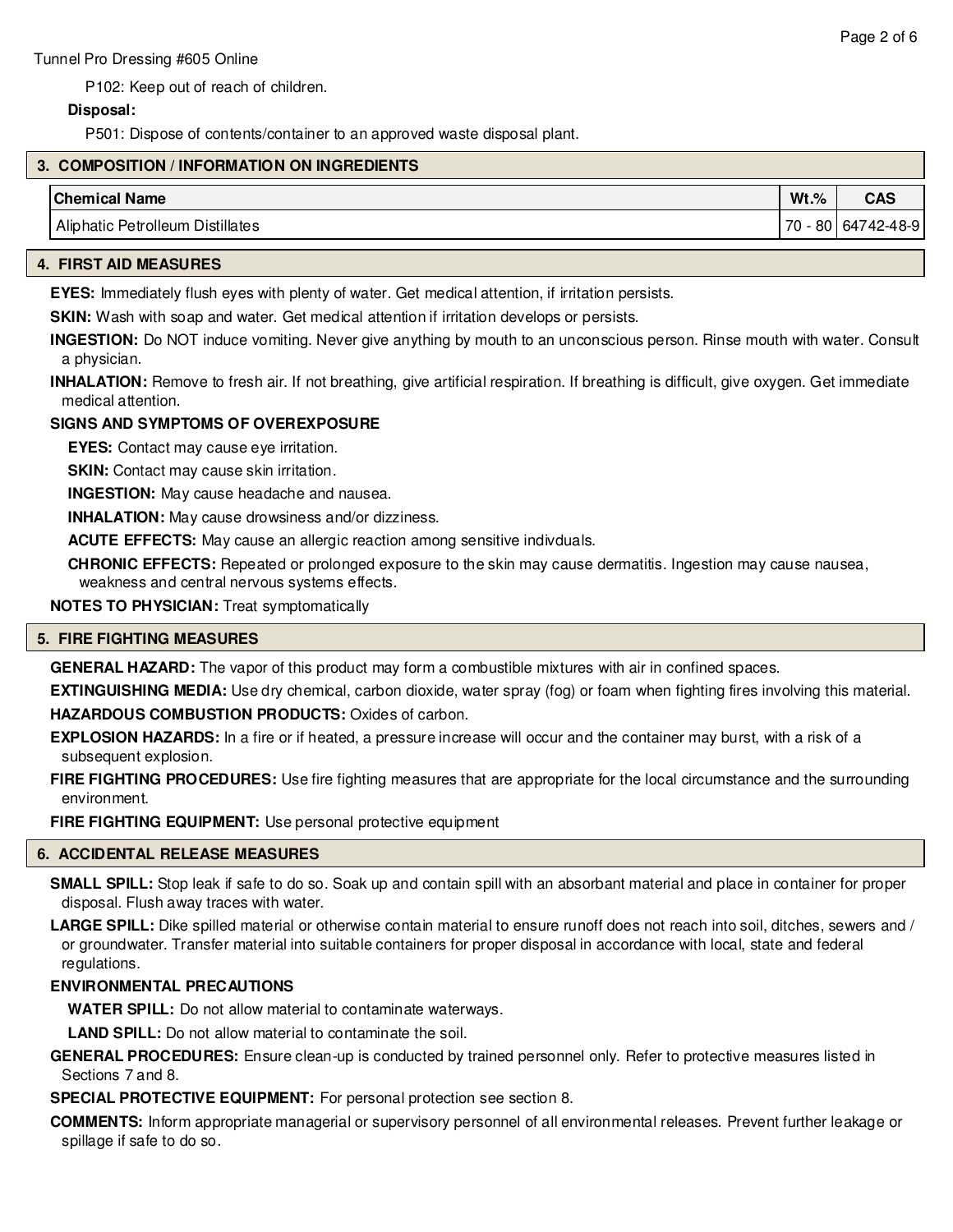P102: Keep out of reach of children.

# **Disposal:**

P501: Dispose of contents/container to an approved waste disposal plant.

# **3. COMPOSITION / INFORMATION ON INGREDIENTS**

| <b>Chemical Name</b>                       | $Wt.$ %     | <b>CAS</b> |
|--------------------------------------------|-------------|------------|
| Aliphatic<br><b>Petrolleum Distillates</b> | 70<br>$-80$ | 64742-48-9 |

#### **4. FIRST AID MEASURES**

**EYES:** Immediately flush eyes with plenty of water. Get medical attention, if irritation persists.

**SKIN:** Wash with soap and water. Get medical attention if irritation develops or persists.

**INGESTION:** Do NOT induce vomiting. Never give anything by mouth to an unconscious person. Rinse mouth with water. Consult a physician.

**INHALATION:** Remove to fresh air. If not breathing, give artificial respiration. If breathing is difficult, give oxygen. Get immediate medical attention.

# **SIGNS AND SYMPTOMS OF OVEREXPOSURE**

**EYES:** Contact may cause eye irritation.

**SKIN:** Contact may cause skin irritation.

**INGESTION:** May cause headache and nausea.

**INHALATION:** May cause drowsiness and/or dizziness.

**ACUTE EFFECTS:** May cause an allergic reaction among sensitive indivduals.

**CHRONIC EFFECTS:** Repeated or prolonged exposure to the skin may cause dermatitis. Ingestion may cause nausea, weakness and central nervous systems effects.

**NOTES TO PHYSICIAN:** Treat symptomatically

# **5. FIRE FIGHTING MEASURES**

**GENERAL HAZARD:** The vapor of this product may form a combustible mixtures with air in confined spaces.

**EXTINGUISHING MEDIA:** Use dry chemical, carbon dioxide, water spray (fog) or foam when fighting fires involving this material. **HAZARDOUS COMBUSTION PRODUCTS:** Oxides of carbon.

**EXPLOSION HAZARDS:** In a fire or if heated, a pressure increase will occur and the container may burst, with a risk of a subsequent explosion.

**FIRE FIGHTING PROCEDURES:** Use fire fighting measures that are appropriate for the local circumstance and the surrounding environment.

**FIRE FIGHTING EQUIPMENT:** Use personal protective equipment

# **6. ACCIDENTAL RELEASE MEASURES**

**SMALL SPILL:** Stop leak if safe to do so. Soak up and contain spill with an absorbant material and place in container for proper disposal. Flush away traces with water.

**LARGE SPILL:** Dike spilled material or otherwise contain material to ensure runoff does not reach into soil, ditches, sewers and / or groundwater. Transfer material into suitable containers for proper disposal in accordance with local, state and federal regulations.

# **ENVIRONMENTAL PRECAUTIONS**

**WATER SPILL:** Do not allow material to contaminate waterways.

**LAND SPILL:** Do not allow material to contaminate the soil.

**GENERAL PROCEDURES:** Ensure clean-up is conducted by trained personnel only. Refer to protective measures listed in Sections 7 and 8.

**SPECIAL PROTECTIVE EQUIPMENT:** For personal protection see section 8.

**COMMENTS:** Inform appropriate managerial or supervisory personnel of all environmental releases. Prevent further leakage or spillage if safe to do so.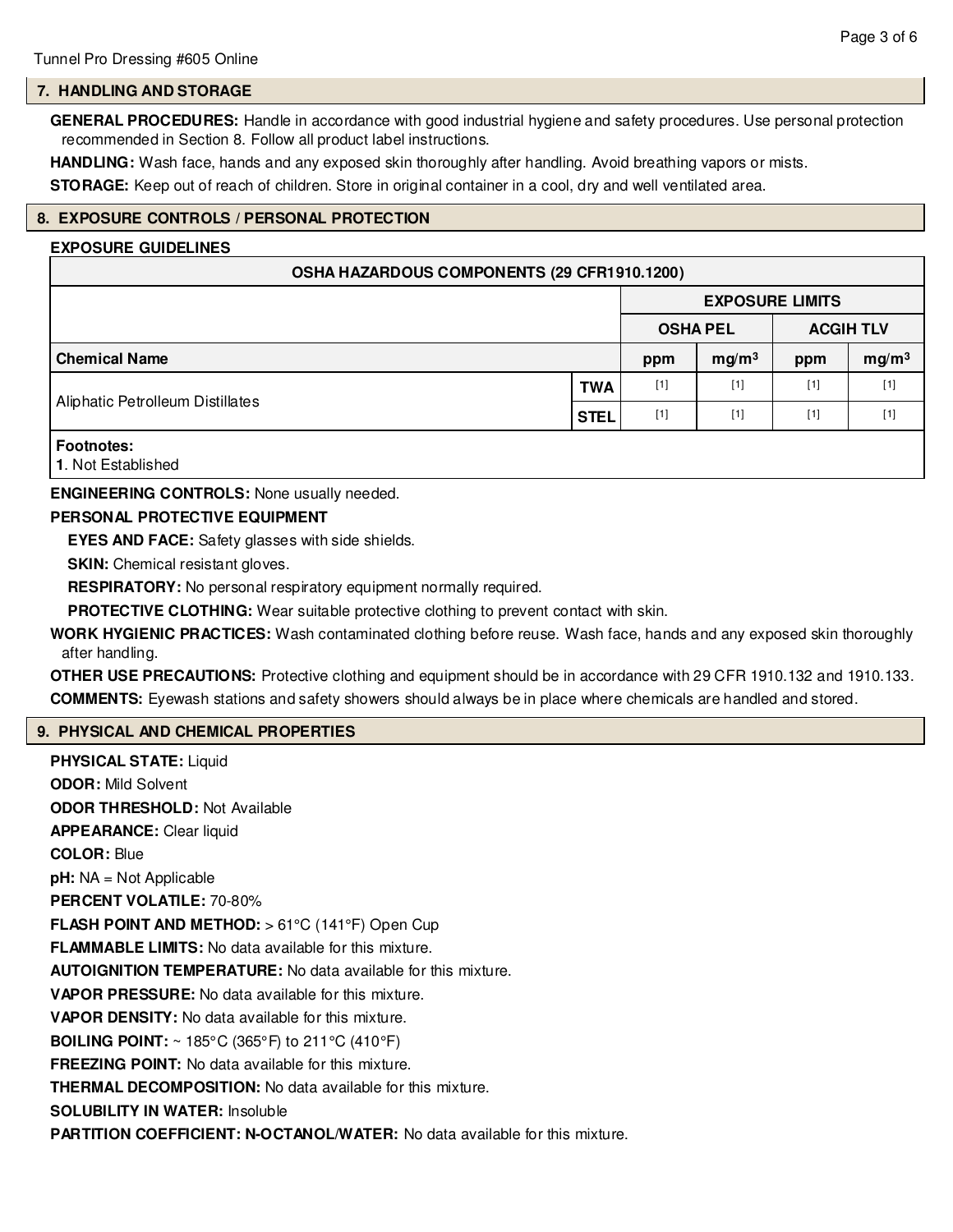# **7. HANDLING AND STORAGE**

**GENERAL PROCEDURES:** Handle in accordance with good industrial hygiene and safety procedures. Use personal protection recommended in Section 8. Follow all product label instructions.

**HANDLING:** Wash face, hands and any exposed skin thoroughly after handling. Avoid breathing vapors or mists.

**STORAGE:** Keep out of reach of children. Store in original container in a cool, dry and well ventilated area.

# **8. EXPOSURE CONTROLS / PERSONAL PROTECTION**

#### **EXPOSURE GUIDELINES**

| OSHA HAZARDOUS COMPONENTS (29 CFR1910.1200)    |             |                        |                   |                  |                   |  |  |
|------------------------------------------------|-------------|------------------------|-------------------|------------------|-------------------|--|--|
|                                                |             | <b>EXPOSURE LIMITS</b> |                   |                  |                   |  |  |
|                                                |             | <b>OSHA PEL</b>        |                   | <b>ACGIH TLV</b> |                   |  |  |
| <b>Chemical Name</b>                           |             | ppm                    | mg/m <sup>3</sup> | ppm              | mg/m <sup>3</sup> |  |  |
| Aliphatic Petrolleum Distillates               | <b>TWA</b>  | $[1]$                  | $[1]$             | $[1]$            | $[1]$             |  |  |
|                                                | <b>STEL</b> | $[1]$                  | $[1]$             | $[1]$            | $[1]$             |  |  |
| <b>Footnotes:</b><br><b>1. Not Established</b> |             |                        |                   |                  |                   |  |  |

#### **ENGINEERING CONTROLS:** None usually needed.

#### **PERSONAL PROTECTIVE EQUIPMENT**

**EYES AND FACE:** Safety glasses with side shields.

**SKIN:** Chemical resistant gloves.

**RESPIRATORY:** No personal respiratory equipment normally required.

**PROTECTIVE CLOTHING:** Wear suitable protective clothing to prevent contact with skin.

**WORK HYGIENIC PRACTICES:** Wash contaminated clothing before reuse. Wash face, hands and any exposed skin thoroughly after handling.

**OTHER USE PRECAUTIONS:** Protective clothing and equipment should be in accordance with 29 CFR 1910.132 and 1910.133. **COMMENTS:** Eyewash stations and safety showers should always be in place where chemicals are handled and stored.

# **9. PHYSICAL AND CHEMICAL PROPERTIES**

**PHYSICAL STATE:** Liquid **ODOR:** Mild Solvent **ODOR THRESHOLD:** Not Available **APPEARANCE:** Clear liquid **COLOR:** Blue **pH:** NA = Not Applicable **PERCENT VOLATILE:** 70-80% **FLASH POINT AND METHOD:** > 61°C (141°F) Open Cup **FLAMMABLE LIMITS:** No data available for this mixture. **AUTOIGNITION TEMPERATURE:** No data available for this mixture. **VAPOR PRESSURE:** No data available for this mixture. **VAPOR DENSITY:** No data available for this mixture. **BOILING POINT:** ~ 185°C (365°F) to 211°C (410°F) **FREEZING POINT:** No data available for this mixture. **THERMAL DECOMPOSITION:** No data available for this mixture. **SOLUBILITY IN WATER:** Insoluble **PARTITION COEFFICIENT: N-OCTANOL/WATER:** No data available for this mixture.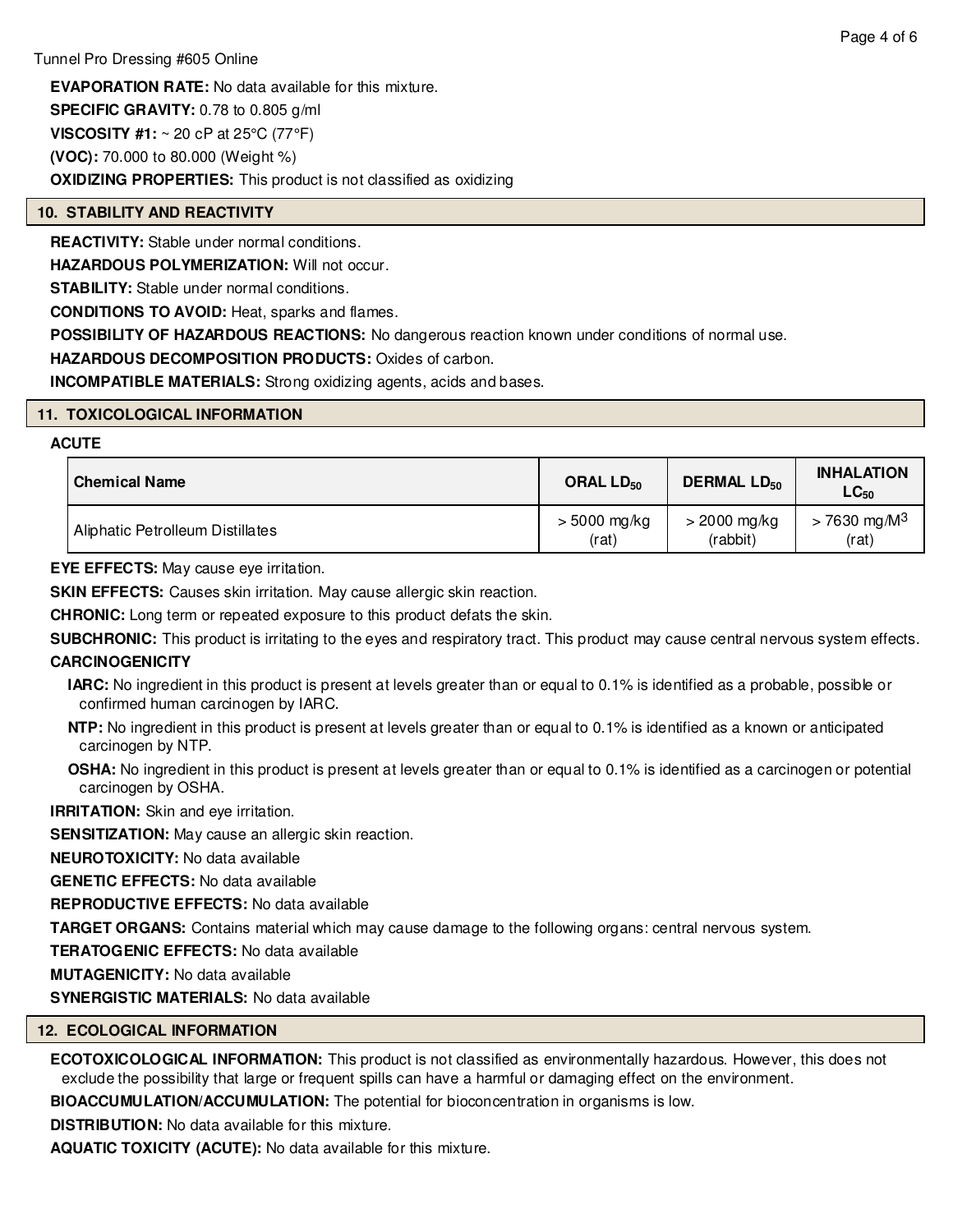**EVAPORATION RATE:** No data available for this mixture. **SPECIFIC GRAVITY:** 0.78 to 0.805 g/ml **VISCOSITY #1:** ~ 20 cP at 25°C (77°F) **(VOC):** 70.000 to 80.000 (Weight %) **OXIDIZING PROPERTIES:** This product is not classified as oxidizing

# **10. STABILITY AND REACTIVITY**

**REACTIVITY:** Stable under normal conditions.

**HAZARDOUS POLYMERIZATION: Will not occur.** 

**STABILITY:** Stable under normal conditions.

**CONDITIONS TO AVOID:** Heat, sparks and flames.

**POSSIBILITY OF HAZARDOUS REACTIONS:** No dangerous reaction known under conditions of normal use.

**HAZARDOUS DECOMPOSITION PRODUCTS:** Oxides of carbon.

**INCOMPATIBLE MATERIALS:** Strong oxidizing agents, acids and bases.

# **11. TOXICOLOGICAL INFORMATION**

# **ACUTE**

| <b>Chemical Name</b>             | ORAL LD <sub>50</sub> | <b>DERMAL LD<sub>50</sub></b> | <b>INHALATION</b><br>$LG_{50}$ |
|----------------------------------|-----------------------|-------------------------------|--------------------------------|
| Aliphatic Petrolleum Distillates | $> 5000$ mg/kg        | $>$ 2000 mg/kg                | $> 7630 \text{ mg/M}^3$        |
|                                  | (rat)                 | (rabbit)                      | (rat)                          |

**EYE EFFECTS:** May cause eye irritation.

**SKIN EFFECTS:** Causes skin irritation. May cause allergic skin reaction.

**CHRONIC:** Long term or repeated exposure to this product defats the skin.

**SUBCHRONIC:** This product is irritating to the eyes and respiratory tract. This product may cause central nervous system effects. **CARCINOGENICITY**

**IARC:** No ingredient in this product is present at levels greater than or equal to 0.1% is identified as a probable, possible or confirmed human carcinogen by IARC.

**NTP:** No ingredient in this product is present at levels greater than or equal to 0.1% is identified as a known or anticipated carcinogen by NTP.

**OSHA:** No ingredient in this product is present at levels greater than or equal to 0.1% is identified as a carcinogen or potential carcinogen by OSHA.

**IRRITATION:** Skin and eye irritation.

**SENSITIZATION:** May cause an allergic skin reaction.

**NEUROTOXICITY:** No data available

**GENETIC EFFECTS:** No data available

**REPRODUCTIVE EFFECTS:** No data available

**TARGET ORGANS:** Contains material which may cause damage to the following organs: central nervous system.

**TERATOGENIC EFFECTS:** No data available

**MUTAGENICITY:** No data available

**SYNERGISTIC MATERIALS:** No data available

# **12. ECOLOGICAL INFORMATION**

**ECOTOXICOLOGICAL INFORMATION:** This product is not classified as environmentally hazardous. However, this does not exclude the possibility that large or frequent spills can have a harmful or damaging effect on the environment.

**BIOACCUMULATION/ACCUMULATION:** The potential for bioconcentration in organisms is low.

**DISTRIBUTION:** No data available for this mixture.

**AQUATIC TOXICITY (ACUTE):** No data available for this mixture.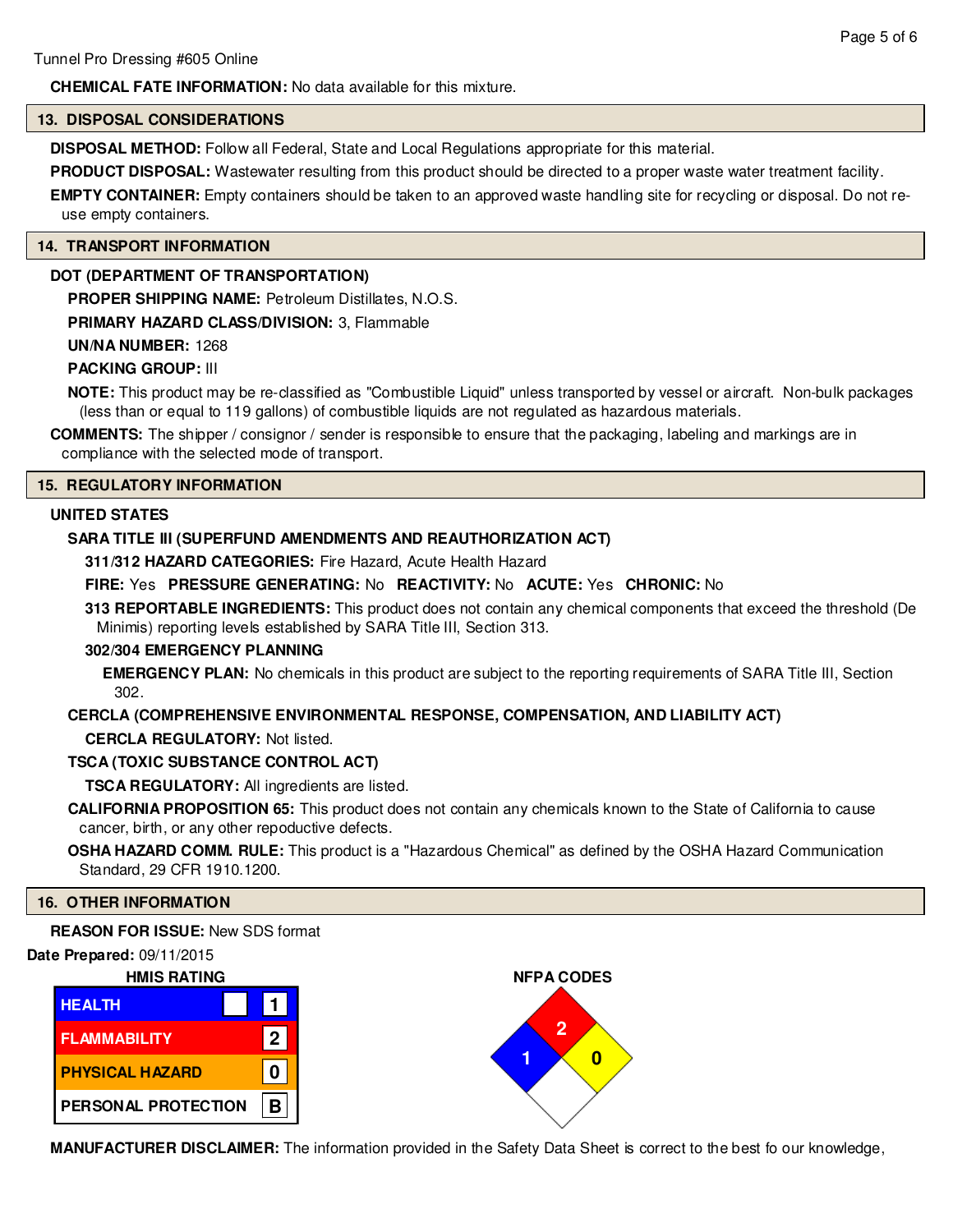# **CHEMICAL FATE INFORMATION:** No data available for this mixture.

#### **13. DISPOSAL CONSIDERATIONS**

**DISPOSAL METHOD:** Follow all Federal, State and Local Regulations appropriate for this material.

**PRODUCT DISPOSAL:** Wastewater resulting from this product should be directed to a proper waste water treatment facility.

**EMPTY CONTAINER:** Empty containers should be taken to an approved waste handling site for recycling or disposal. Do not reuse empty containers.

#### **14. TRANSPORT INFORMATION**

# **DOT (DEPARTMENT OF TRANSPORTATION)**

**PROPER SHIPPING NAME:** Petroleum Distillates, N.O.S.

**PRIMARY HAZARD CLASS/DIVISION:** 3, Flammable

#### **UN/NA NUMBER:** 1268

#### **PACKING GROUP:** III

**NOTE:** This product may be re-classified as "Combustible Liquid" unless transported by vessel or aircraft. Non-bulk packages (less than or equal to 119 gallons) of combustible liquids are not regulated as hazardous materials.

**COMMENTS:** The shipper / consignor / sender is responsible to ensure that the packaging, labeling and markings are in compliance with the selected mode of transport.

### **15. REGULATORY INFORMATION**

# **UNITED STATES**

## **SARA TITLE III (SUPERFUND AMENDMENTS AND REAUTHORIZATION ACT)**

**311/312 HAZARD CATEGORIES:** Fire Hazard, Acute Health Hazard

# **FIRE:** Yes **PRESSURE GENERATING:** No **REACTIVITY:** No **ACUTE:** Yes **CHRONIC:** No

**313 REPORTABLE INGREDIENTS:** This product does not contain any chemical components that exceed the threshold (De Minimis) reporting levels established by SARA Title III, Section 313.

### **302/304 EMERGENCY PLANNING**

**EMERGENCY PLAN:** No chemicals in this product are subject to the reporting requirements of SARA Title III, Section 302.

# **CERCLA (COMPREHENSIVE ENVIRONMENTAL RESPONSE, COMPENSATION, AND LIABILITY ACT)**

**CERCLA REGULATORY:** Not listed.

#### **TSCA (TOXIC SUBSTANCE CONTROL ACT)**

**TSCA REGULATORY:** All ingredients are listed.

**CALIFORNIA PROPOSITION 65:** This product does not contain any chemicals known to the State of California to cause cancer, birth, or any other repoductive defects.

#### **OSHA HAZARD COMM. RULE:** This product is a "Hazardous Chemical" as defined by the OSHA Hazard Communication Standard, 29 CFR 1910.1200.

### **16. OTHER INFORMATION**

**REASON FOR ISSUE:** New SDS format

#### **Date Prepared:** 09/11/2015







**MANUFACTURER DISCLAIMER:** The information provided in the Safety Data Sheet is correct to the best fo our knowledge,